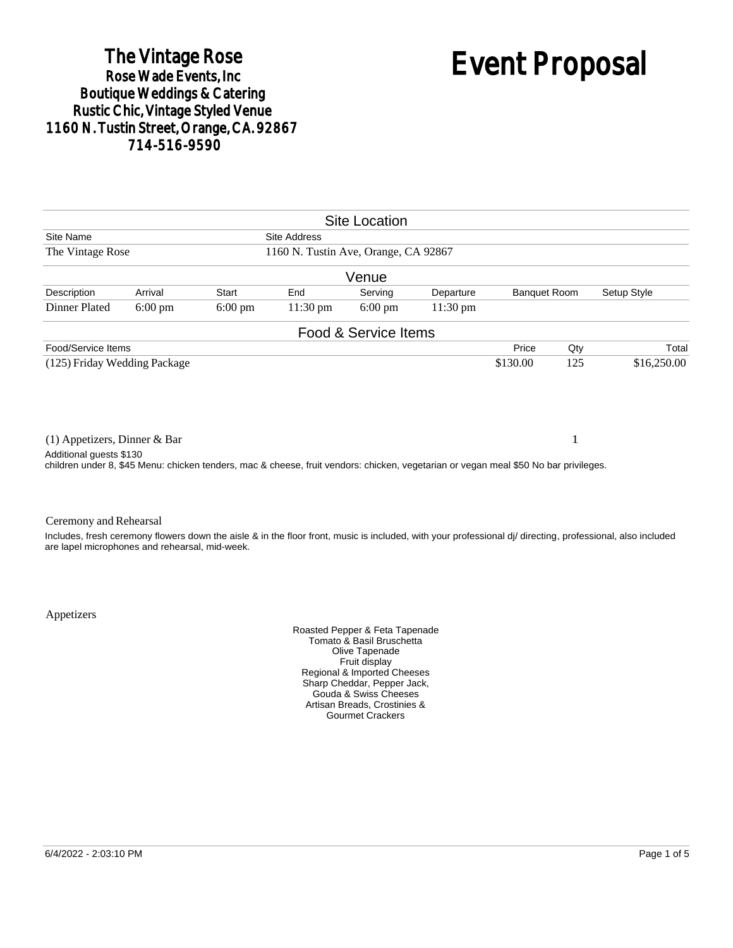# The Vintage Rose<br>Rose Wade Events, Inc. Boutique Weddings & Catering<br>Rustic Chic, Vintage Styled Venue 1160 N. Tustin Street, Orange, CA. 92867 714-516-9590

# Event Proposal

| <b>Site Location</b>                                                                                                                                            |                   |                   |                     |                      |            |             |                                    |                                                                                                                                                            |  |
|-----------------------------------------------------------------------------------------------------------------------------------------------------------------|-------------------|-------------------|---------------------|----------------------|------------|-------------|------------------------------------|------------------------------------------------------------------------------------------------------------------------------------------------------------|--|
| Site Name                                                                                                                                                       |                   |                   | <b>Site Address</b> |                      |            |             |                                    |                                                                                                                                                            |  |
| The Vintage Rose<br>1160 N. Tustin Ave, Orange, CA 92867                                                                                                        |                   |                   |                     |                      |            |             |                                    |                                                                                                                                                            |  |
|                                                                                                                                                                 |                   |                   |                     | Venue                |            |             |                                    |                                                                                                                                                            |  |
| Description                                                                                                                                                     | Arrival           | Start             | End                 | Serving              | Departure  |             | Setup Style<br><b>Banquet Room</b> |                                                                                                                                                            |  |
| <b>Dinner Plated</b>                                                                                                                                            | $6:00 \text{ pm}$ | $6:00 \text{ pm}$ | $11:30 \text{ pm}$  | $6:00 \text{ pm}$    | $11:30$ pm |             |                                    |                                                                                                                                                            |  |
|                                                                                                                                                                 |                   |                   |                     | Food & Service Items |            |             |                                    |                                                                                                                                                            |  |
| Food/Service Items                                                                                                                                              |                   |                   |                     |                      |            | Price       | Qty                                | Total                                                                                                                                                      |  |
| (125) Friday Wedding Package                                                                                                                                    |                   |                   |                     | \$130.00             | 125        | \$16,250.00 |                                    |                                                                                                                                                            |  |
| $(1)$ Appetizers, Dinner & Bar                                                                                                                                  |                   |                   |                     |                      |            |             | 1                                  |                                                                                                                                                            |  |
| Additional quests \$130<br>children under 8, \$45 Menu: chicken tenders, mac & cheese, fruit vendors: chicken, vegetarian or vegan meal \$50 No bar privileges. |                   |                   |                     |                      |            |             |                                    |                                                                                                                                                            |  |
| Ceremony and Rehearsal<br>are lapel microphones and rehearsal, mid-week.                                                                                        |                   |                   |                     |                      |            |             |                                    | Includes, fresh ceremony flowers down the aisle & in the floor front, music is included, with your professional di/ directing, professional, also included |  |

Appetizers

Roasted Pepper & Feta Tapenade Tomato & Basil Bruschetta Olive Tapenade Fruit display Regional & Imported Cheeses Sharp Cheddar, Pepper Jack, Gouda & Swiss Cheeses Artisan Breads, Crostinies & Gourmet Crackers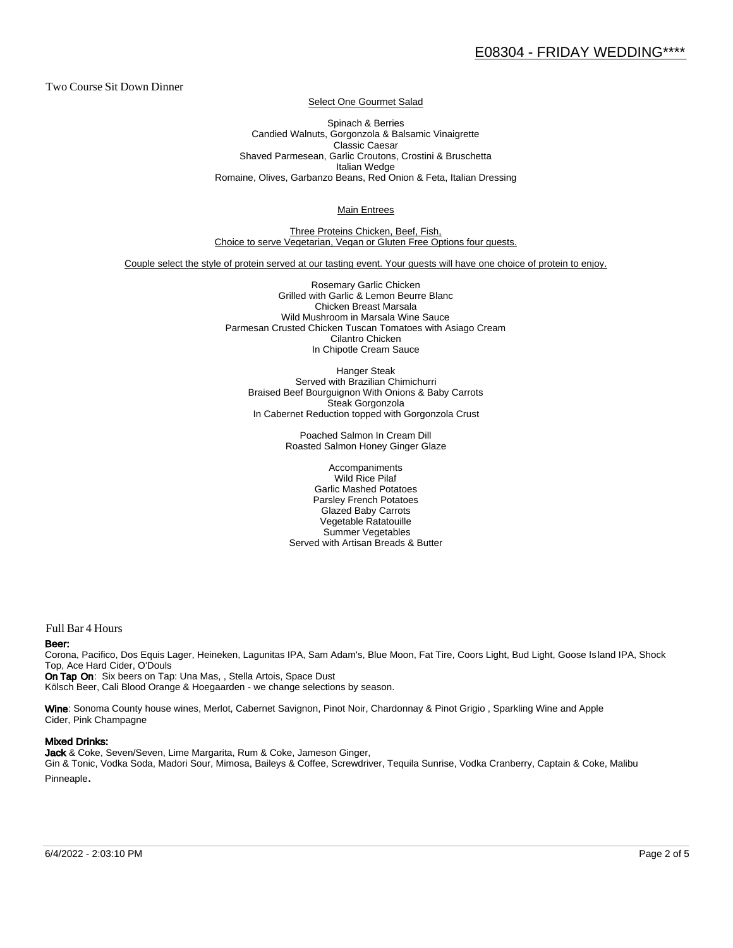Two Course Sit Down Dinner

Select One Gourmet Salad

Spinach & Berries Candied Walnuts, Gorgonzola & Balsamic Vinaigrette Classic Caesar Shaved Parmesean, Garlic Croutons, Crostini & Bruschetta Italian Wedge Romaine, Olives, Garbanzo Beans, Red Onion & Feta, Italian Dressing

Main Entrees

Three Proteins Chicken, Beef, Fish, Choice to serve Vegetarian, Vegan or Gluten Free Options four guests.

Couple select the style of protein served at our tasting event. Your guests will have one choice of protein to enjoy.

Rosemary Garlic Chicken Grilled with Garlic & Lemon Beurre Blanc Chicken Breast Marsala Wild Mushroom in Marsala Wine Sauce Parmesan Crusted Chicken Tuscan Tomatoes with Asiago Cream Cilantro Chicken In Chipotle Cream Sauce

Hanger Steak Served with Brazilian Chimichurri Braised Beef Bourguignon With Onions & Baby Carrots Steak Gorgonzola In Cabernet Reduction topped with Gorgonzola Crust

> Poached Salmon In Cream Dill Roasted Salmon Honey Ginger Glaze

Accompaniments Wild Rice Pilaf Garlic Mashed Potatoes Parsley French Potatoes Glazed Baby Carrots Vegetable Ratatouille Summer Vegetables Served with Artisan Breads & Butter

Full Bar 4 Hours

#### Beer:

Corona, Pacifico, Dos Equis Lager, Heineken, Lagunitas IPA, Sam Adam's, Blue Moon, Fat Tire, Coors Light, Bud Light, Goose Is land IPA, Shock Top, Ace Hard Cider, O'Douls

On Tap On: Six beers on Tap: Una Mas, , Stella Artois, Space Dust Kölsch Beer, Cali Blood Orange & Hoegaarden - we change selections by season.

Wine: Sonoma County house wines, Merlot, Cabernet Savignon, Pinot Noir, Chardonnay & Pinot Grigio, Sparkling Wine and Apple Cider, Pink Champagne

#### Mixed Drinks:

Jack & Coke, Seven/Seven, Lime Margarita, Rum & Coke, Jameson Ginger, Gin & Tonic, Vodka Soda, Madori Sour, Mimosa, Baileys & Coffee, Screwdriver, Tequila Sunrise, Vodka Cranberry, Captain & Coke, Malibu Pinneaple.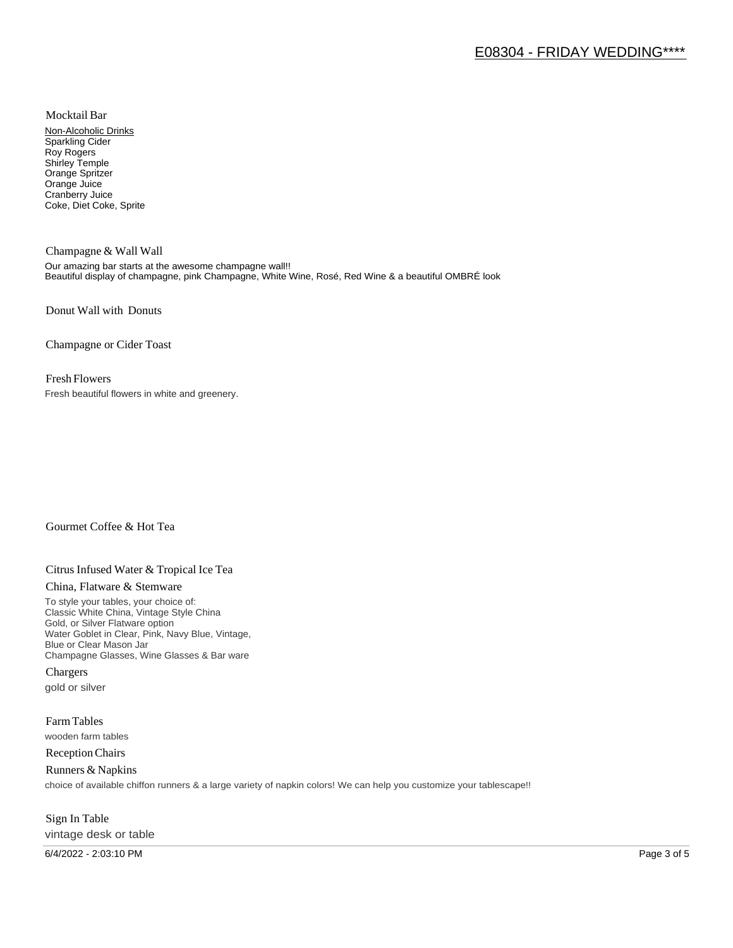Mocktail Bar

Non-Alcoholic Drinks Sparkling Cider Roy Rogers Shirley Temple Orange Spritzer Orange Juice Cranberry Juice Coke, Diet Coke, Sprite

Champagne & Wall Wall Our amazing bar starts at the awesome champagne wall!! Beautiful display of champagne, pink Champagne, White Wine, Rosé, Red Wine & a beautiful OMBRÉ look

Donut Wall with Donuts

Champagne or Cider Toast

### Fresh Flowers

Fresh beautiful flowers in white and greenery.

# Gourmet Coffee & Hot Tea

# Citrus Infused Water & Tropical Ice Tea

#### China, Flatware & Stemware

To style your tables, your choice of: Classic White China, Vintage Style China Gold, or Silver Flatware option Water Goblet in Clear, Pink, Navy Blue, Vintage, Blue or Clear Mason Jar Champagne Glasses, Wine Glasses & Bar ware

Chargers gold or silver

Farm Tables wooden farm tables

Reception Chairs

Runners & Napkins choice of available chiffon runners & a large variety of napkin colors! We can help you customize your tablescape!!

# Sign In Table vintage desk or table

6/4/2022 - 2:03:10 PM Page 3 of 5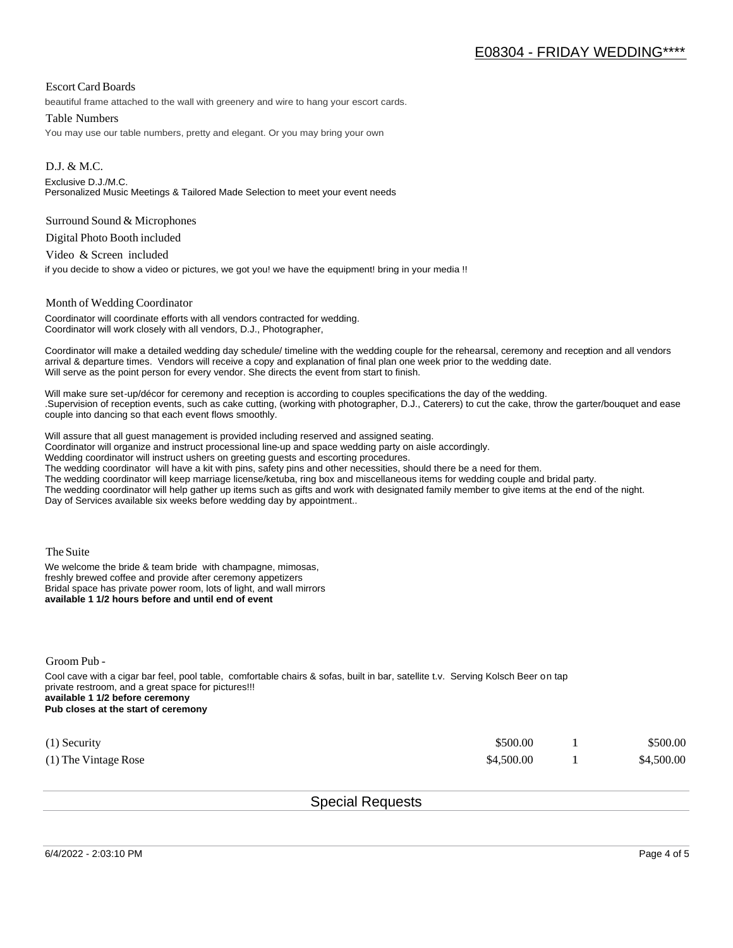## Escort Card Boards

beautiful frame attached to the wall with greenery and wire to hang your escort cards.

#### Table Numbers

You may use our table numbers, pretty and elegant. Or you may bring your own

D.J. & M.C. Exclusive D.J./M.C. Personalized Music Meetings & Tailored Made Selection to meet your event needs

#### Surround Sound & Microphones

Digital Photo Booth included

Video & Screen included

if you decide to show a video or pictures, we got you! we have the equipment! bring in your media !!

#### Month of Wedding Coordinator

Coordinator will coordinate efforts with all vendors contracted for wedding. Coordinator will work closely with all vendors, D.J., Photographer,

Coordinator will make a detailed wedding day schedule/ timeline with the wedding couple for the rehearsal, ceremony and reception and all vendors arrival & departure times. Vendors will receive a copy and explanation of final plan one week prior to the wedding date. Will serve as the point person for every vendor. She directs the event from start to finish.

Will make sure set-up/décor for ceremony and reception is according to couples specifications the day of the wedding. .Supervision of reception events, such as cake cutting, (working with photographer, D.J., Caterers) to cut the cake, throw the garter/bouquet and ease couple into dancing so that each event flows smoothly.

Will assure that all guest management is provided including reserved and assigned seating.

Coordinator will organize and instruct processional line-up and space wedding party on aisle accordingly.

Wedding coordinator will instruct ushers on greeting guests and escorting procedures.

The wedding coordinator will have a kit with pins, safety pins and other necessities, should there be a need for them.

The wedding coordinator will keep marriage license/ketuba, ring box and miscellaneous items for wedding couple and bridal party.

The wedding coordinator will help gather up items such as gifts and work with designated family member to give items at the end of the night. Day of Services available six weeks before wedding day by appointment..

The Suite

We welcome the bride & team bride with champagne, mimosas, freshly brewed coffee and provide after ceremony appetizers Bridal space has private power room, lots of light, and wall mirrors **available 1 1/2 hours before and until end of event** 

Groom Pub -

Cool cave with a cigar bar feel, pool table, comfortable chairs & sofas, built in bar, satellite t.v. Serving Kolsch Beer on tap private restroom, and a great space for pictures!!! **available 1 1/2 before ceremony Pub closes at the start of ceremony**

| $(1)$ Security       | \$500.00   | \$500.00   |
|----------------------|------------|------------|
| (1) The Vintage Rose | \$4.500.00 | \$4,500.00 |

Special Requests